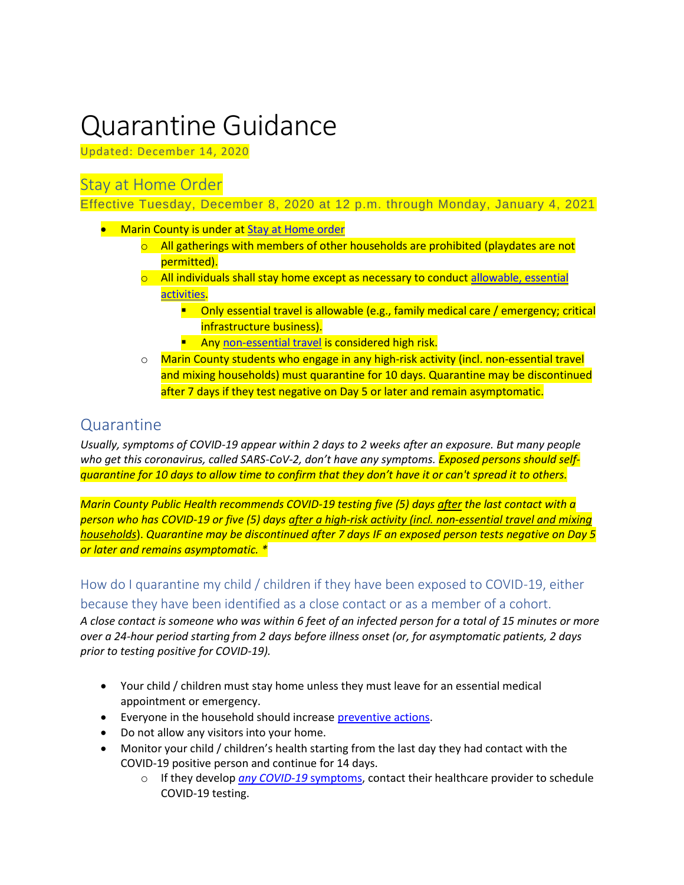# Quarantine Guidance

Updated: December 14, 2020

#### Stay at Home Order

Effective Tuesday, December 8, 2020 at 12 p.m. through Monday, January 4, 2021

- Marin County is under a[t Stay at Home order](https://coronavirus.marinhhs.org/stay-home-order-effect-marin-county)
	- $\circ$  All gatherings with members of other households are prohibited (playdates are not permitted).
	- $\circ$  All individuals shall stay home except as necessary to conduct allowable, essential [activities.](https://www.cdph.ca.gov/Programs/CID/DCDC/Pages/COVID-19/Regional-Stay-at-Home-Order-.aspx)
		- **•** Only essential travel is allowable (e.g., family medical care / emergency; critical infrastructure business).
		- **E** An[y non-essential travel](https://www.cdph.ca.gov/Programs/CID/DCDC/Pages/COVID-19/Travel-Advisory.aspx) is considered high risk.
	- o Marin County students who engage in any high-risk activity (incl. non-essential travel and mixing households) must quarantine for 10 days. Quarantine may be discontinued after 7 days if they test negative on Day 5 or later and remain asymptomatic.

### Quarantine

*Usually, [symptoms of COVID-19](https://www.webmd.com/lung/covid-19-symptoms) appear within 2 days to 2 weeks after an exposure. But many people who get this coronavirus, called SARS-CoV-2, don't have any symptoms. Exposed persons should selfquarantine for 10 days to allow time to confirm that they don't have it or can't [spread it to others.](https://www.webmd.com/lung/coronavirus-transmission-overview)* 

*Marin County Public Health recommends COVID-19 testing five (5) days after the last contact with a person who has COVID-19 or five (5) days after a high-risk activity (incl. non-essential travel and mixing households*). *Quarantine may be discontinued after 7 days IF an exposed person tests negative on Day 5 or later and remains asymptomatic. \**

#### How do I quarantine my child / children if they have been exposed to COVID-19, either because they have been identified as a close contact or as a member of a cohort.

*A close contact is someone who was within 6 feet of an infected person for a total of 15 minutes or more over a 24-hour period starting from 2 days before illness onset (or, for asymptomatic patients, 2 days prior to testing positive for COVID-19).*

- Your child / children must stay home unless they must leave for an essential medical appointment or emergency.
- Everyone in the household should increase [preventive actions.](https://www.cdc.gov/coronavirus/2019-ncov/prevent-getting-sick/prevention.html)
- Do not allow any visitors into your home.
- Monitor your child / children's health starting from the last day they had contact with the COVID-19 positive person and continue for 14 days.
	- o If they develop *[any COVID-19](https://www.cdc.gov/coronavirus/2019-ncov/symptoms-testing/symptoms.html)* symptoms, contact their healthcare provider to schedule COVID-19 testing.